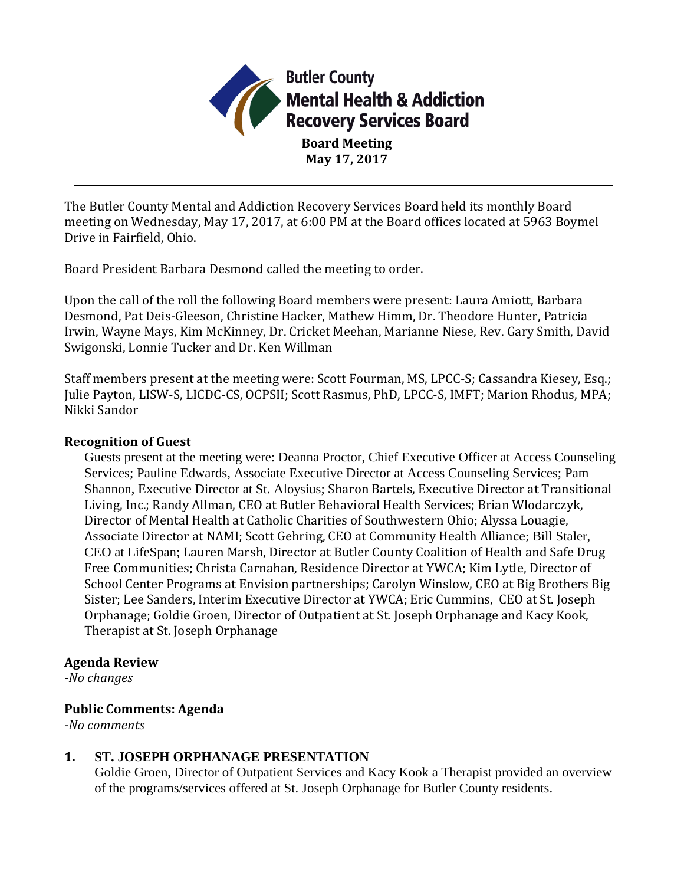

**Board Meeting May 17, 2017**

The Butler County Mental and Addiction Recovery Services Board held its monthly Board meeting on Wednesday, May 17, 2017, at 6:00 PM at the Board offices located at 5963 Boymel Drive in Fairfield, Ohio.

Board President Barbara Desmond called the meeting to order.

Upon the call of the roll the following Board members were present: Laura Amiott, Barbara Desmond, Pat Deis-Gleeson, Christine Hacker, Mathew Himm, Dr. Theodore Hunter, Patricia Irwin, Wayne Mays, Kim McKinney, Dr. Cricket Meehan, Marianne Niese, Rev. Gary Smith, David Swigonski, Lonnie Tucker and Dr. Ken Willman

Staff members present at the meeting were: Scott Fourman, MS, LPCC-S; Cassandra Kiesey, Esq.; Julie Payton, LISW-S, LICDC-CS, OCPSII; Scott Rasmus, PhD, LPCC-S, IMFT; Marion Rhodus, MPA; Nikki Sandor

#### **Recognition of Guest**

Guests present at the meeting were: Deanna Proctor, Chief Executive Officer at Access Counseling Services; Pauline Edwards, Associate Executive Director at Access Counseling Services; Pam Shannon, Executive Director at St. Aloysius; Sharon Bartels, Executive Director at Transitional Living, Inc.; Randy Allman, CEO at Butler Behavioral Health Services; Brian Wlodarczyk, Director of Mental Health at Catholic Charities of Southwestern Ohio; Alyssa Louagie, Associate Director at NAMI; Scott Gehring, CEO at Community Health Alliance; Bill Staler, CEO at LifeSpan; Lauren Marsh, Director at Butler County Coalition of Health and Safe Drug Free Communities; Christa Carnahan, Residence Director at YWCA; Kim Lytle, Director of School Center Programs at Envision partnerships; Carolyn Winslow, CEO at Big Brothers Big Sister; Lee Sanders, Interim Executive Director at YWCA; Eric Cummins, CEO at St. Joseph Orphanage; Goldie Groen, Director of Outpatient at St. Joseph Orphanage and Kacy Kook, Therapist at St. Joseph Orphanage

#### **Agenda Review**

*-No changes*

#### **Public Comments: Agenda**

*-No comments*

#### **1. ST. JOSEPH ORPHANAGE PRESENTATION**

Goldie Groen, Director of Outpatient Services and Kacy Kook a Therapist provided an overview of the programs/services offered at St. Joseph Orphanage for Butler County residents.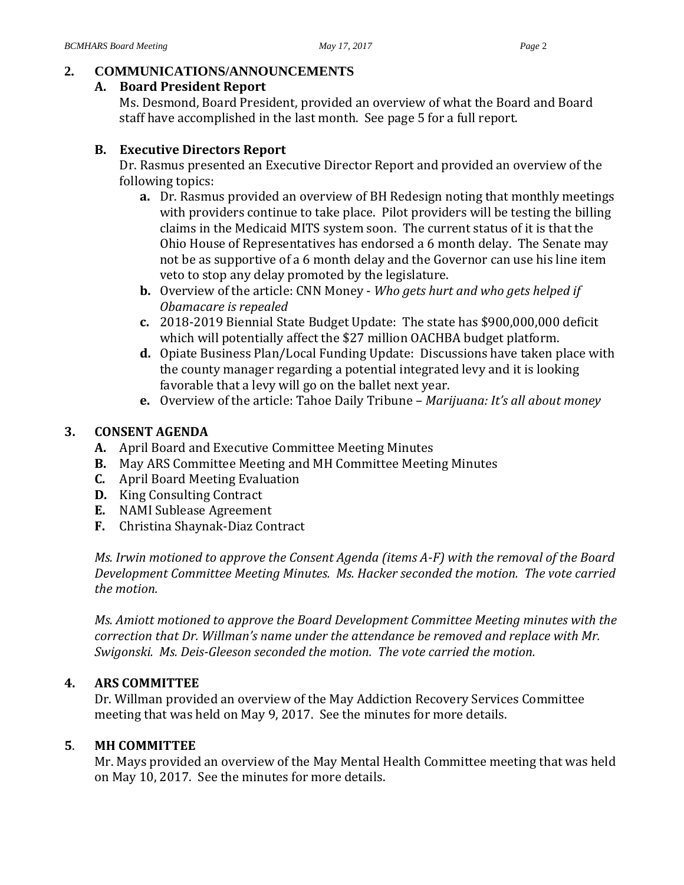## **2. COMMUNICATIONS/ANNOUNCEMENTS**

#### **A. Board President Report**

Ms. Desmond, Board President, provided an overview of what the Board and Board staff have accomplished in the last month. See page 5 for a full report.

# **B. Executive Directors Report**

Dr. Rasmus presented an Executive Director Report and provided an overview of the following topics:

- **a.** Dr. Rasmus provided an overview of BH Redesign noting that monthly meetings with providers continue to take place. Pilot providers will be testing the billing claims in the Medicaid MITS system soon. The current status of it is that the Ohio House of Representatives has endorsed a 6 month delay. The Senate may not be as supportive of a 6 month delay and the Governor can use his line item veto to stop any delay promoted by the legislature.
- **b.** Overview of the article: CNN Money *Who gets hurt and who gets helped if Obamacare is repealed*
- **c.** 2018-2019 Biennial State Budget Update: The state has \$900,000,000 deficit which will potentially affect the \$27 million OACHBA budget platform.
- **d.** Opiate Business Plan/Local Funding Update: Discussions have taken place with the county manager regarding a potential integrated levy and it is looking favorable that a levy will go on the ballet next year.
- **e.** Overview of the article: Tahoe Daily Tribune *Marijuana: It's all about money*

# **3. CONSENT AGENDA**

- **A.** April Board and Executive Committee Meeting Minutes
- **B.** May ARS Committee Meeting and MH Committee Meeting Minutes
- **C.** April Board Meeting Evaluation
- **D.** King Consulting Contract
- **E.** NAMI Sublease Agreement
- **F.** Christina Shaynak-Diaz Contract

*Ms. Irwin motioned to approve the Consent Agenda (items A-F) with the removal of the Board Development Committee Meeting Minutes. Ms. Hacker seconded the motion. The vote carried the motion.*

*Ms. Amiott motioned to approve the Board Development Committee Meeting minutes with the correction that Dr. Willman's name under the attendance be removed and replace with Mr. Swigonski. Ms. Deis-Gleeson seconded the motion. The vote carried the motion.*

# **4. ARS COMMITTEE**

Dr. Willman provided an overview of the May Addiction Recovery Services Committee meeting that was held on May 9, 2017. See the minutes for more details.

# **5**. **MH COMMITTEE**

Mr. Mays provided an overview of the May Mental Health Committee meeting that was held on May 10, 2017. See the minutes for more details.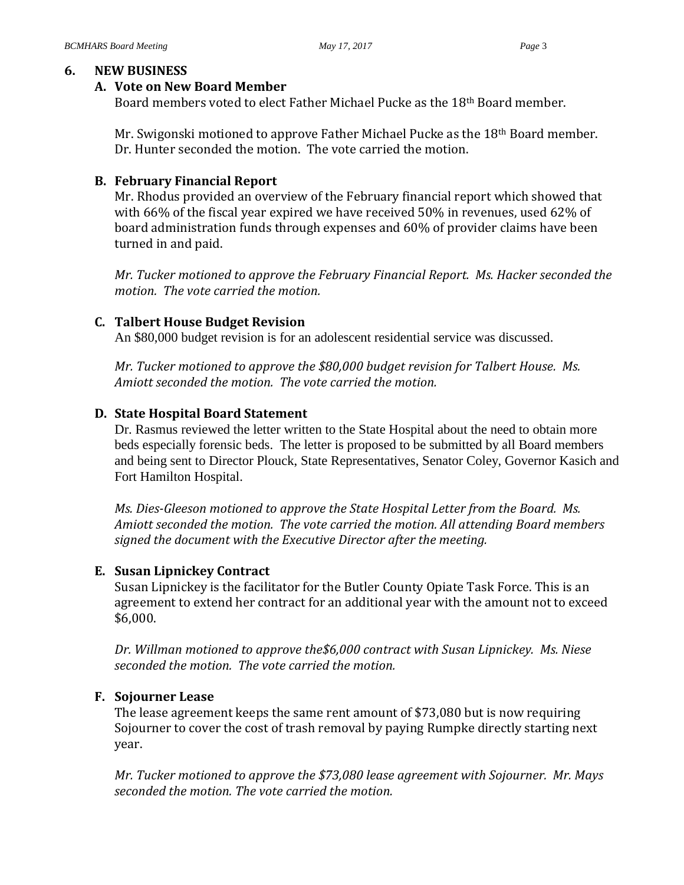#### **6. NEW BUSINESS**

#### **A. Vote on New Board Member**

Board members voted to elect Father Michael Pucke as the 18th Board member.

Mr. Swigonski motioned to approve Father Michael Pucke as the 18th Board member. Dr. Hunter seconded the motion. The vote carried the motion.

#### **B. February Financial Report**

Mr. Rhodus provided an overview of the February financial report which showed that with 66% of the fiscal year expired we have received 50% in revenues, used 62% of board administration funds through expenses and 60% of provider claims have been turned in and paid.

*Mr. Tucker motioned to approve the February Financial Report. Ms. Hacker seconded the motion. The vote carried the motion.*

## **C. Talbert House Budget Revision**

An \$80,000 budget revision is for an adolescent residential service was discussed.

*Mr. Tucker motioned to approve the \$80,000 budget revision for Talbert House. Ms. Amiott seconded the motion. The vote carried the motion.*

## **D. State Hospital Board Statement**

Dr. Rasmus reviewed the letter written to the State Hospital about the need to obtain more beds especially forensic beds. The letter is proposed to be submitted by all Board members and being sent to Director Plouck, State Representatives, Senator Coley, Governor Kasich and Fort Hamilton Hospital.

*Ms. Dies-Gleeson motioned to approve the State Hospital Letter from the Board. Ms. Amiott seconded the motion. The vote carried the motion. All attending Board members signed the document with the Executive Director after the meeting.*

#### **E. Susan Lipnickey Contract**

Susan Lipnickey is the facilitator for the Butler County Opiate Task Force. This is an agreement to extend her contract for an additional year with the amount not to exceed \$6,000.

*Dr. Willman motioned to approve the\$6,000 contract with Susan Lipnickey. Ms. Niese seconded the motion. The vote carried the motion.*

#### **F. Sojourner Lease**

The lease agreement keeps the same rent amount of \$73,080 but is now requiring Sojourner to cover the cost of trash removal by paying Rumpke directly starting next year.

*Mr. Tucker motioned to approve the \$73,080 lease agreement with Sojourner. Mr. Mays seconded the motion. The vote carried the motion.*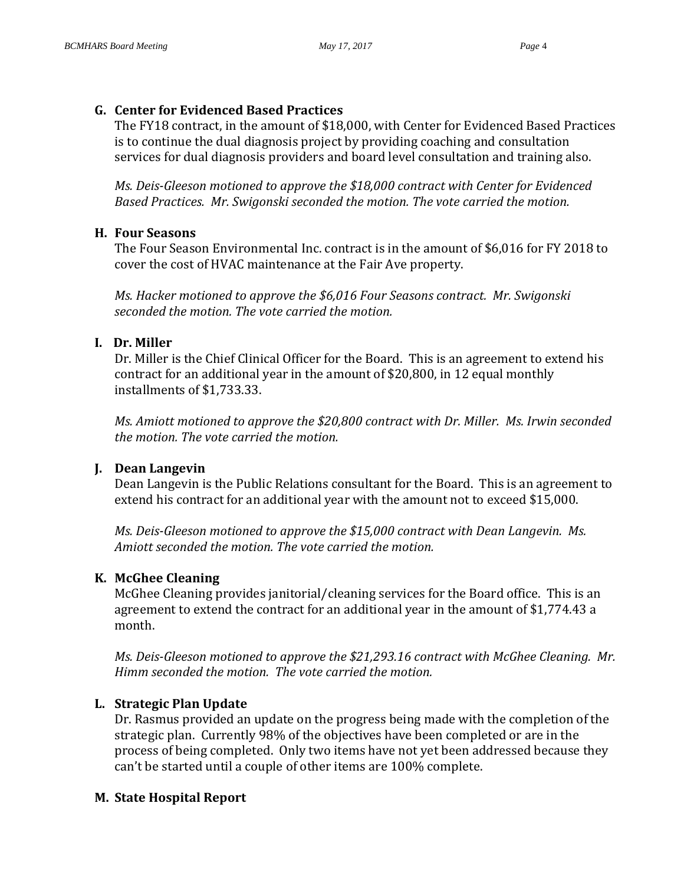# **G. Center for Evidenced Based Practices**

The FY18 contract, in the amount of \$18,000, with Center for Evidenced Based Practices is to continue the dual diagnosis project by providing coaching and consultation services for dual diagnosis providers and board level consultation and training also.

*Ms. Deis-Gleeson motioned to approve the \$18,000 contract with Center for Evidenced Based Practices. Mr. Swigonski seconded the motion. The vote carried the motion.*

# **H. Four Seasons**

The Four Season Environmental Inc. contract is in the amount of \$6,016 for FY 2018 to cover the cost of HVAC maintenance at the Fair Ave property.

*Ms. Hacker motioned to approve the \$6,016 Four Seasons contract. Mr. Swigonski seconded the motion. The vote carried the motion.*

# **I. Dr. Miller**

Dr. Miller is the Chief Clinical Officer for the Board. This is an agreement to extend his contract for an additional year in the amount of \$20,800, in 12 equal monthly installments of \$1,733.33.

*Ms. Amiott motioned to approve the \$20,800 contract with Dr. Miller. Ms. Irwin seconded the motion. The vote carried the motion.*

# **J. Dean Langevin**

Dean Langevin is the Public Relations consultant for the Board. This is an agreement to extend his contract for an additional year with the amount not to exceed \$15,000.

*Ms. Deis-Gleeson motioned to approve the \$15,000 contract with Dean Langevin. Ms. Amiott seconded the motion. The vote carried the motion.*

# **K. McGhee Cleaning**

McGhee Cleaning provides janitorial/cleaning services for the Board office. This is an agreement to extend the contract for an additional year in the amount of \$1,774.43 a month.

*Ms. Deis-Gleeson motioned to approve the \$21,293.16 contract with McGhee Cleaning. Mr. Himm seconded the motion. The vote carried the motion.*

# **L. Strategic Plan Update**

Dr. Rasmus provided an update on the progress being made with the completion of the strategic plan. Currently 98% of the objectives have been completed or are in the process of being completed. Only two items have not yet been addressed because they can't be started until a couple of other items are 100% complete.

# **M. State Hospital Report**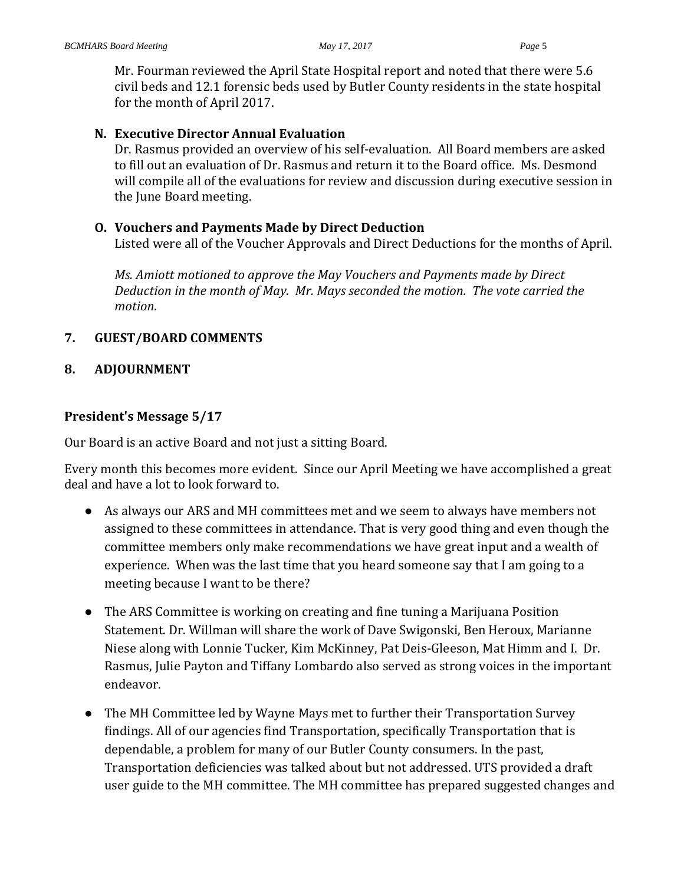Mr. Fourman reviewed the April State Hospital report and noted that there were 5.6 civil beds and 12.1 forensic beds used by Butler County residents in the state hospital for the month of April 2017.

## **N. Executive Director Annual Evaluation**

Dr. Rasmus provided an overview of his self-evaluation. All Board members are asked to fill out an evaluation of Dr. Rasmus and return it to the Board office. Ms. Desmond will compile all of the evaluations for review and discussion during executive session in the June Board meeting.

## **O. Vouchers and Payments Made by Direct Deduction**

Listed were all of the Voucher Approvals and Direct Deductions for the months of April.

*Ms. Amiott motioned to approve the May Vouchers and Payments made by Direct Deduction in the month of May. Mr. Mays seconded the motion. The vote carried the motion.*

# **7. GUEST/BOARD COMMENTS**

## **8. ADJOURNMENT**

# **President's Message 5/17**

Our Board is an active Board and not just a sitting Board.

Every month this becomes more evident. Since our April Meeting we have accomplished a great deal and have a lot to look forward to.

- As always our ARS and MH committees met and we seem to always have members not assigned to these committees in attendance. That is very good thing and even though the committee members only make recommendations we have great input and a wealth of experience. When was the last time that you heard someone say that I am going to a meeting because I want to be there?
- The ARS Committee is working on creating and fine tuning a Marijuana Position Statement. Dr. Willman will share the work of Dave Swigonski, Ben Heroux, Marianne Niese along with Lonnie Tucker, Kim McKinney, Pat Deis-Gleeson, Mat Himm and I. Dr. Rasmus, Julie Payton and Tiffany Lombardo also served as strong voices in the important endeavor.
- The MH Committee led by Wayne Mays met to further their Transportation Survey findings. All of our agencies find Transportation, specifically Transportation that is dependable, a problem for many of our Butler County consumers. In the past, Transportation deficiencies was talked about but not addressed. UTS provided a draft user guide to the MH committee. The MH committee has prepared suggested changes and